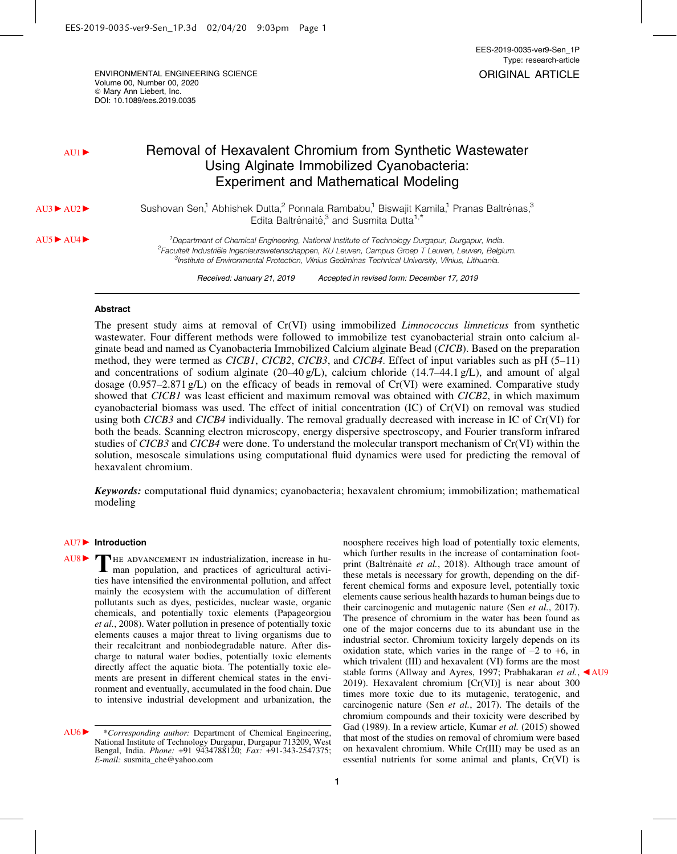ENVIRONMENTAL ENGINEERING SCIENCE Volume 00, Number 00, 2020  $@$  Mary Ann Liebert, Inc. DOI: 10.1089/ees.2019.0035

# AU1 Exavalent Chromium from Synthetic Wastewater Using Alginate Immobilized Cyanobacteria: Experiment and Mathematical Modeling

AU3▶ AU2▶ Sushovan Sen,<sup>1</sup> Abhishek Dutta,<sup>2</sup> Ponnala Rambabu,<sup>1</sup> Biswajit Kamila,<sup>1</sup> Pranas Baltrenas,<sup>3</sup> Edita Baltrenaite,<sup>3</sup> and Susmita Dutta<sup>1,\*</sup>

AU5 LU4 c 1 Department of Chemical Engineering, National Institute of Technology Durgapur, Durgapur, India. <sup>2</sup>Faculteit Industriële Ingenieurswetenschappen, KU Leuven, Campus Groep T Leuven, Leuven, Belgium. <sup>3</sup>Institute of Environmental Protection, Vilnius Gediminas Technical University, Vilnius, Lithuania.

Received: January 21, 2019 Accepted in revised form: December 17, 2019

# Abstract

The present study aims at removal of Cr(VI) using immobilized *Limnococcus limneticus* from synthetic wastewater. Four different methods were followed to immobilize test cyanobacterial strain onto calcium alginate bead and named as Cyanobacteria Immobilized Calcium alginate Bead (*CICB*). Based on the preparation method, they were termed as *CICB1*, *CICB2*, *CICB3*, and *CICB4*. Effect of input variables such as pH (5–11) and concentrations of sodium alginate (20–40 g/L), calcium chloride (14.7–44.1 g/L), and amount of algal dosage (0.957–2.871 g/L) on the efficacy of beads in removal of Cr(VI) were examined. Comparative study showed that *CICB1* was least efficient and maximum removal was obtained with *CICB2*, in which maximum cyanobacterial biomass was used. The effect of initial concentration (IC) of Cr(VI) on removal was studied using both *CICB3* and *CICB4* individually. The removal gradually decreased with increase in IC of Cr(VI) for both the beads. Scanning electron microscopy, energy dispersive spectroscopy, and Fourier transform infrared studies of *CICB3* and *CICB4* were done. To understand the molecular transport mechanism of Cr(VI) within the solution, mesoscale simulations using computational fluid dynamics were used for predicting the removal of hexavalent chromium.

**Keywords:** computational fluid dynamics; cyanobacteria; hexavalent chromium; immobilization; mathematical modeling

### AU7▶ Introduction

THE ADVANCEMENT IN industrialization, increase in human population, and practices of agricultural activi-AU8 $\triangleright$  **C** HE ADVANCEMENT IN industrialization, increase in huties have intensified the environmental pollution, and affect mainly the ecosystem with the accumulation of different pollutants such as dyes, pesticides, nuclear waste, organic chemicals, and potentially toxic elements (Papageorgiou *et al.*, 2008). Water pollution in presence of potentially toxic elements causes a major threat to living organisms due to their recalcitrant and nonbiodegradable nature. After discharge to natural water bodies, potentially toxic elements directly affect the aquatic biota. The potentially toxic elements are present in different chemical states in the environment and eventually, accumulated in the food chain. Due to intensive industrial development and urbanization, the

AU6 **Corresponding author:** Department of Chemical Engineering, National Institute of Technology Durgapur, Durgapur 713209, West Bengal, India. *Phone:* +91 9434788120; *Fax:* +91-343-2547375; *E-mail:* susmita\_che@yahoo.com

noosphere receives high load of potentially toxic elements, which further results in the increase of contamination footprint (Baltrenaite et al., 2018). Although trace amount of these metals is necessary for growth, depending on the different chemical forms and exposure level, potentially toxic elements cause serious health hazards to human beings due to their carcinogenic and mutagenic nature (Sen *et al.*, 2017). The presence of chromium in the water has been found as one of the major concerns due to its abundant use in the industrial sector. Chromium toxicity largely depends on its oxidation state, which varies in the range of  $-2$  to  $+6$ , in which trivalent (III) and hexavalent (VI) forms are the most stable forms (Allway and Ayres, 1997; Prabhakaran et al., AU9 2019). Hexavalent chromium [Cr(VI)] is near about 300 times more toxic due to its mutagenic, teratogenic, and carcinogenic nature (Sen *et al.*, 2017). The details of the chromium compounds and their toxicity were described by Gad (1989). In a review article, Kumar *et al.* (2015) showed that most of the studies on removal of chromium were based on hexavalent chromium. While Cr(III) may be used as an essential nutrients for some animal and plants, Cr(VI) is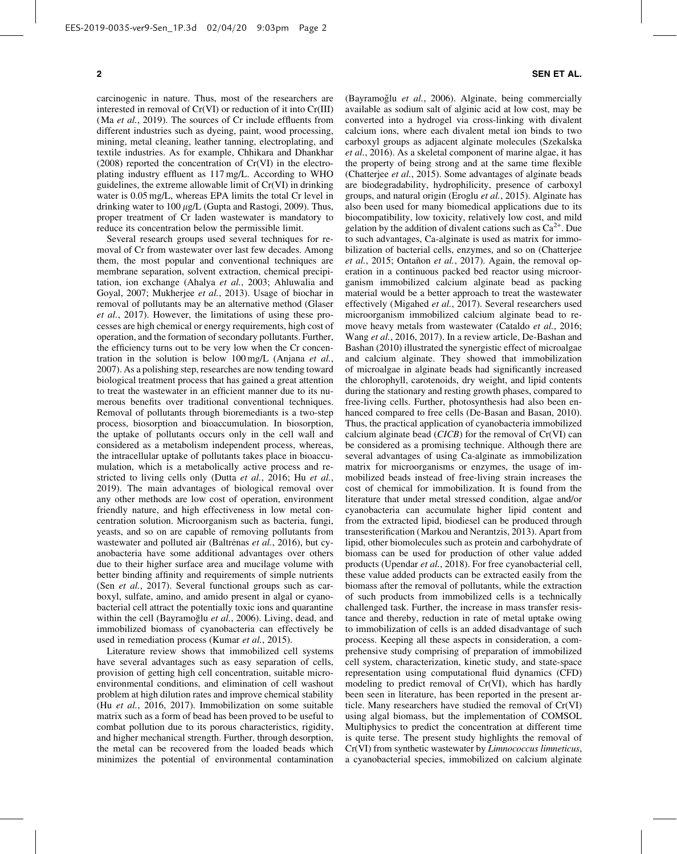carcinogenic in nature. Thus, most of the researchers are interested in removal of Cr(VI) or reduction of it into Cr(III) (Ma *et al.*, 2019). The sources of Cr include effluents from different industries such as dyeing, paint, wood processing, mining, metal cleaning, leather tanning, electroplating, and textile industries. As for example, Chhikara and Dhankhar (2008) reported the concentration of Cr(VI) in the electroplating industry effluent as 117 mg/L. According to WHO guidelines, the extreme allowable limit of Cr(VI) in drinking water is 0.05 mg/L, whereas EPA limits the total Cr level in drinking water to 100  $\mu$ g/L (Gupta and Rastogi, 2009). Thus, proper treatment of Cr laden wastewater is mandatory to reduce its concentration below the permissible limit.

Several research groups used several techniques for removal of Cr from wastewater over last few decades. Among them, the most popular and conventional techniques are membrane separation, solvent extraction, chemical precipitation, ion exchange (Ahalya *et al.*, 2003; Ahluwalia and Goyal, 2007; Mukherjee *et al.*, 2013). Usage of biochar in removal of pollutants may be an alternative method (Glaser *et al.*, 2017). However, the limitations of using these processes are high chemical or energy requirements, high cost of operation, and the formation of secondary pollutants. Further, the efficiency turns out to be very low when the Cr concentration in the solution is below 100 mg/L (Anjana *et al.*, 2007). As a polishing step, researches are now tending toward biological treatment process that has gained a great attention to treat the wastewater in an efficient manner due to its numerous benefits over traditional conventional techniques. Removal of pollutants through bioremediants is a two-step process, biosorption and bioaccumulation. In biosorption, the uptake of pollutants occurs only in the cell wall and considered as a metabolism independent process, whereas, the intracellular uptake of pollutants takes place in bioaccumulation, which is a metabolically active process and restricted to living cells only (Dutta *et al.*, 2016; Hu *et al.*, 2019). The main advantages of biological removal over any other methods are low cost of operation, environment friendly nature, and high effectiveness in low metal concentration solution. Microorganism such as bacteria, fungi, yeasts, and so on are capable of removing pollutants from wastewater and polluted air (Baltrenas et al., 2016), but cyanobacteria have some additional advantages over others due to their higher surface area and mucilage volume with better binding affinity and requirements of simple nutrients (Sen *et al.*, 2017). Several functional groups such as carboxyl, sulfate, amino, and amido present in algal or cyanobacterial cell attract the potentially toxic ions and quarantine within the cell (Bayramoğlu et al., 2006). Living, dead, and immobilized biomass of cyanobacteria can effectively be used in remediation process (Kumar *et al.*, 2015).

Literature review shows that immobilized cell systems have several advantages such as easy separation of cells, provision of getting high cell concentration, suitable microenvironmental conditions, and elimination of cell washout problem at high dilution rates and improve chemical stability (Hu *et al.*, 2016, 2017). Immobilization on some suitable matrix such as a form of bead has been proved to be useful to combat pollution due to its porous characteristics, rigidity, and higher mechanical strength. Further, through desorption, the metal can be recovered from the loaded beads which minimizes the potential of environmental contamination

(Bayramoğlu et al., 2006). Alginate, being commercially available as sodium salt of alginic acid at low cost, may be converted into a hydrogel via cross-linking with divalent calcium ions, where each divalent metal ion binds to two carboxyl groups as adjacent alginate molecules (Szekalska *et al.*, 2016). As a skeletal component of marine algae, it has the property of being strong and at the same time flexible (Chatterjee *et al.*, 2015). Some advantages of alginate beads are biodegradability, hydrophilicity, presence of carboxyl groups, and natural origin (Eroglu *et al.*, 2015). Alginate has also been used for many biomedical applications due to its biocompatibility, low toxicity, relatively low cost, and mild gelation by the addition of divalent cations such as  $Ca^{2+}$ . Due to such advantages, Ca-alginate is used as matrix for immobilization of bacterial cells, enzymes, and so on (Chatterjee *et al.*, 2015; Ontañon *et al.*, 2017). Again, the removal operation in a continuous packed bed reactor using microorganism immobilized calcium alginate bead as packing material would be a better approach to treat the wastewater effectively (Migahed *et al.*, 2017). Several researchers used microorganism immobilized calcium alginate bead to remove heavy metals from wastewater (Cataldo *et al.*, 2016; Wang *et al.*, 2016, 2017). In a review article, De-Bashan and Bashan (2010) illustrated the synergistic effect of microalgae and calcium alginate. They showed that immobilization of microalgae in alginate beads had significantly increased the chlorophyll, carotenoids, dry weight, and lipid contents during the stationary and resting growth phases, compared to free-living cells. Further, photosynthesis had also been enhanced compared to free cells (De-Basan and Basan, 2010). Thus, the practical application of cyanobacteria immobilized calcium alginate bead (*CICB*) for the removal of Cr(VI) can be considered as a promising technique. Although there are several advantages of using Ca-alginate as immobilization matrix for microorganisms or enzymes, the usage of immobilized beads instead of free-living strain increases the cost of chemical for immobilization. It is found from the literature that under metal stressed condition, algae and/or cyanobacteria can accumulate higher lipid content and from the extracted lipid, biodiesel can be produced through transesterification (Markou and Nerantzis, 2013). Apart from lipid, other biomolecules such as protein and carbohydrate of biomass can be used for production of other value added products (Upendar *et al.*, 2018). For free cyanobacterial cell, these value added products can be extracted easily from the biomass after the removal of pollutants, while the extraction of such products from immobilized cells is a technically challenged task. Further, the increase in mass transfer resistance and thereby, reduction in rate of metal uptake owing to immobilization of cells is an added disadvantage of such process. Keeping all these aspects in consideration, a comprehensive study comprising of preparation of immobilized cell system, characterization, kinetic study, and state-space representation using computational fluid dynamics (CFD) modeling to predict removal of Cr(VI), which has hardly been seen in literature, has been reported in the present article. Many researchers have studied the removal of Cr(VI) using algal biomass, but the implementation of COMSOL Multiphysics to predict the concentration at different time is quite terse. The present study highlights the removal of Cr(VI) from synthetic wastewater by *Limnococcus limneticus*, a cyanobacterial species, immobilized on calcium alginate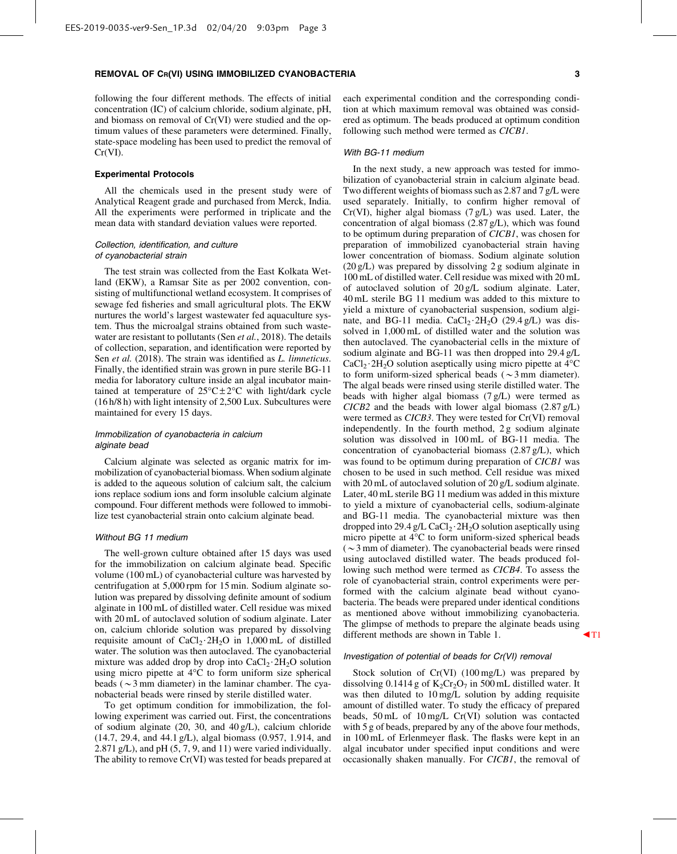following the four different methods. The effects of initial concentration (IC) of calcium chloride, sodium alginate, pH, and biomass on removal of Cr(VI) were studied and the optimum values of these parameters were determined. Finally, state-space modeling has been used to predict the removal of Cr(VI).

#### Experimental Protocols

All the chemicals used in the present study were of Analytical Reagent grade and purchased from Merck, India. All the experiments were performed in triplicate and the mean data with standard deviation values were reported.

# Collection, identification, and culture of cyanobacterial strain

The test strain was collected from the East Kolkata Wetland (EKW), a Ramsar Site as per 2002 convention, consisting of multifunctional wetland ecosystem. It comprises of sewage fed fisheries and small agricultural plots. The EKW nurtures the world's largest wastewater fed aquaculture system. Thus the microalgal strains obtained from such wastewater are resistant to pollutants (Sen *et al.*, 2018). The details of collection, separation, and identification were reported by Sen *et al.* (2018). The strain was identified as *L. limneticus*. Finally, the identified strain was grown in pure sterile BG-11 media for laboratory culture inside an algal incubator maintained at temperature of  $25^{\circ}$ C $\pm 2^{\circ}$ C with light/dark cycle (16 h/8 h) with light intensity of 2,500 Lux. Subcultures were maintained for every 15 days.

#### Immobilization of cyanobacteria in calcium alginate bead

Calcium alginate was selected as organic matrix for immobilization of cyanobacterial biomass. When sodium alginate is added to the aqueous solution of calcium salt, the calcium ions replace sodium ions and form insoluble calcium alginate compound. Four different methods were followed to immobilize test cyanobacterial strain onto calcium alginate bead.

#### Without BG 11 medium

The well-grown culture obtained after 15 days was used for the immobilization on calcium alginate bead. Specific volume (100 mL) of cyanobacterial culture was harvested by centrifugation at 5,000 rpm for 15 min. Sodium alginate solution was prepared by dissolving definite amount of sodium alginate in 100 mL of distilled water. Cell residue was mixed with 20 mL of autoclaved solution of sodium alginate. Later on, calcium chloride solution was prepared by dissolving requisite amount of  $CaCl<sub>2</sub>·2H<sub>2</sub>O$  in 1,000 mL of distilled water. The solution was then autoclaved. The cyanobacterial mixture was added drop by drop into  $CaCl<sub>2</sub>·2H<sub>2</sub>O$  solution using micro pipette at  $4^{\circ}C$  to form uniform size spherical beads ( $\sim$ 3 mm diameter) in the laminar chamber. The cyanobacterial beads were rinsed by sterile distilled water.

To get optimum condition for immobilization, the following experiment was carried out. First, the concentrations of sodium alginate (20, 30, and 40 g/L), calcium chloride (14.7, 29.4, and 44.1 g/L), algal biomass (0.957, 1.914, and 2.871 g/L), and pH (5, 7, 9, and 11) were varied individually. The ability to remove Cr(VI) was tested for beads prepared at each experimental condition and the corresponding condition at which maximum removal was obtained was considered as optimum. The beads produced at optimum condition following such method were termed as *CICB1*.

#### With BG-11 medium

In the next study, a new approach was tested for immobilization of cyanobacterial strain in calcium alginate bead. Two different weights of biomass such as 2.87 and 7 g/L were used separately. Initially, to confirm higher removal of  $Cr(VI)$ , higher algal biomass  $(7 g/L)$  was used. Later, the concentration of algal biomass (2.87 g/L), which was found to be optimum during preparation of *CICB1*, was chosen for preparation of immobilized cyanobacterial strain having lower concentration of biomass. Sodium alginate solution (20 g/L) was prepared by dissolving 2 g sodium alginate in 100 mL of distilled water. Cell residue was mixed with 20 mL of autoclaved solution of 20 g/L sodium alginate. Later, 40 mL sterile BG 11 medium was added to this mixture to yield a mixture of cyanobacterial suspension, sodium alginate, and BG-11 media.  $CaCl<sub>2</sub>·2H<sub>2</sub>O$  (29.4 g/L) was dissolved in 1,000 mL of distilled water and the solution was then autoclaved. The cyanobacterial cells in the mixture of sodium alginate and BG-11 was then dropped into 29.4 g/L  $CaCl<sub>2</sub>·2H<sub>2</sub>O$  solution aseptically using micro pipette at  $4^{\circ}C$ to form uniform-sized spherical beads ( $\sim$ 3 mm diameter). The algal beads were rinsed using sterile distilled water. The beads with higher algal biomass (7 g/L) were termed as *CICB2* and the beads with lower algal biomass (2.87 g/L) were termed as *CICB3*. They were tested for Cr(VI) removal independently. In the fourth method, 2 g sodium alginate solution was dissolved in 100 mL of BG-11 media. The concentration of cyanobacterial biomass (2.87 g/L), which was found to be optimum during preparation of *CICB1* was chosen to be used in such method. Cell residue was mixed with 20 mL of autoclaved solution of 20 g/L sodium alginate. Later, 40 mL sterile BG 11 medium was added in this mixture to yield a mixture of cyanobacterial cells, sodium-alginate and BG-11 media. The cyanobacterial mixture was then dropped into 29.4 g/L CaCl<sub>2</sub> $\cdot$  2H<sub>2</sub>O solution aseptically using micro pipette at 4°C to form uniform-sized spherical beads  $(\sim$ 3 mm of diameter). The cyanobacterial beads were rinsed using autoclaved distilled water. The beads produced following such method were termed as *CICB4*. To assess the role of cyanobacterial strain, control experiments were performed with the calcium alginate bead without cyanobacteria. The beads were prepared under identical conditions as mentioned above without immobilizing cyanobacteria. The glimpse of methods to prepare the alginate beads using different methods are shown in Table 1.  $\blacksquare$ 

#### Investigation of potential of beads for Cr(VI) removal

Stock solution of Cr(VI) (100 mg/L) was prepared by dissolving  $0.1414$  g of  $K_2Cr_2O_7$  in 500 mL distilled water. It was then diluted to 10 mg/L solution by adding requisite amount of distilled water. To study the efficacy of prepared beads, 50 mL of 10 mg/L Cr(VI) solution was contacted with 5 g of beads, prepared by any of the above four methods, in 100 mL of Erlenmeyer flask. The flasks were kept in an algal incubator under specified input conditions and were occasionally shaken manually. For *CICB1*, the removal of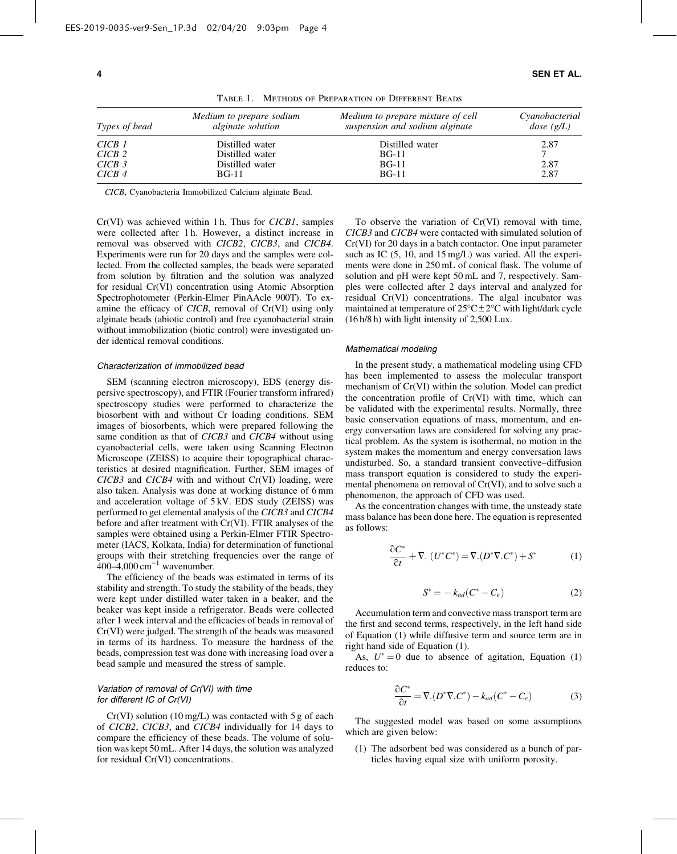| Types of bead     | Medium to prepare sodium<br><i>alginate solution</i> | Medium to prepare mixture of cell<br>suspension and sodium alginate | Cyanobacterial<br>dose(g/L) |
|-------------------|------------------------------------------------------|---------------------------------------------------------------------|-----------------------------|
| CICB 1            | Distilled water                                      | Distilled water                                                     | 2.87                        |
| CICB2             | Distilled water                                      | BG-11                                                               |                             |
| CICB <sub>3</sub> | Distilled water                                      | $BG-11$                                                             | 2.87                        |
| CICB4             | <b>BG-11</b>                                         | $BG-11$                                                             | 2.87                        |

Table 1. Methods of Preparation of Different Beads

*CICB*, Cyanobacteria Immobilized Calcium alginate Bead.

Cr(VI) was achieved within 1 h. Thus for *CICB1*, samples were collected after 1 h. However, a distinct increase in removal was observed with *CICB2*, *CICB3*, and *CICB4*. Experiments were run for 20 days and the samples were collected. From the collected samples, the beads were separated from solution by filtration and the solution was analyzed for residual Cr(VI) concentration using Atomic Absorption Spectrophotometer (Perkin-Elmer PinAAcle 900T). To examine the efficacy of *CICB*, removal of Cr(VI) using only alginate beads (abiotic control) and free cyanobacterial strain without immobilization (biotic control) were investigated under identical removal conditions.

#### Characterization of immobilized bead

SEM (scanning electron microscopy), EDS (energy dispersive spectroscopy), and FTIR (Fourier transform infrared) spectroscopy studies were performed to characterize the biosorbent with and without Cr loading conditions. SEM images of biosorbents, which were prepared following the same condition as that of *CICB3* and *CICB4* without using cyanobacterial cells, were taken using Scanning Electron Microscope (ZEISS) to acquire their topographical characteristics at desired magnification. Further, SEM images of *CICB3* and *CICB4* with and without Cr(VI) loading, were also taken. Analysis was done at working distance of 6 mm and acceleration voltage of 5 kV. EDS study (ZEISS) was performed to get elemental analysis of the *CICB3* and *CICB4* before and after treatment with Cr(VI). FTIR analyses of the samples were obtained using a Perkin-Elmer FTIR Spectrometer (IACS, Kolkata, India) for determination of functional groups with their stretching frequencies over the range of  $400-4,000 \text{ cm}^{-1}$  wavenumber.

The efficiency of the beads was estimated in terms of its stability and strength. To study the stability of the beads, they were kept under distilled water taken in a beaker, and the beaker was kept inside a refrigerator. Beads were collected after 1 week interval and the efficacies of beads in removal of Cr(VI) were judged. The strength of the beads was measured in terms of its hardness. To measure the hardness of the beads, compression test was done with increasing load over a bead sample and measured the stress of sample.

# Variation of removal of Cr(VI) with time for different IC of Cr(VI)

 $Cr(VI)$  solution (10 mg/L) was contacted with 5 g of each of *CICB2*, *CICB3*, and *CICB4* individually for 14 days to compare the efficiency of these beads. The volume of solution was kept 50 mL. After 14 days, the solution was analyzed for residual Cr(VI) concentrations.

To observe the variation of Cr(VI) removal with time, *CICB3* and *CICB4* were contacted with simulated solution of Cr(VI) for 20 days in a batch contactor. One input parameter such as IC (5, 10, and 15 mg/L) was varied. All the experiments were done in 250 mL of conical flask. The volume of solution and pH were kept 50 mL and 7, respectively. Samples were collected after 2 days interval and analyzed for residual Cr(VI) concentrations. The algal incubator was maintained at temperature of  $25^{\circ}$ C $\pm$ 2°C with light/dark cycle (16 h/8 h) with light intensity of 2,500 Lux.

#### Mathematical modeling

In the present study, a mathematical modeling using CFD has been implemented to assess the molecular transport mechanism of Cr(VI) within the solution. Model can predict the concentration profile of Cr(VI) with time, which can be validated with the experimental results. Normally, three basic conservation equations of mass, momentum, and energy conversation laws are considered for solving any practical problem. As the system is isothermal, no motion in the system makes the momentum and energy conversation laws undisturbed. So, a standard transient convective–diffusion mass transport equation is considered to study the experimental phenomena on removal of Cr(VI), and to solve such a phenomenon, the approach of CFD was used.

As the concentration changes with time, the unsteady state mass balance has been done here. The equation is represented as follows:

$$
\frac{\partial C^*}{\partial t} + \nabla \cdot (U^* C^*) = \nabla \cdot (D^* \nabla \cdot C^*) + S^* \tag{1}
$$

$$
S^* = -k_{ad}(C^* - C_e)
$$
 (2)

Accumulation term and convective mass transport term are the first and second terms, respectively, in the left hand side of Equation (1) while diffusive term and source term are in right hand side of Equation (1).

As,  $U^* = 0$  due to absence of agitation, Equation (1) reduces to:

$$
\frac{\partial C^*}{\partial t} = \nabla \cdot (D^* \nabla \cdot C^*) - k_{ad} (C^* - C_e)
$$
 (3)

The suggested model was based on some assumptions which are given below:

(1) The adsorbent bed was considered as a bunch of particles having equal size with uniform porosity.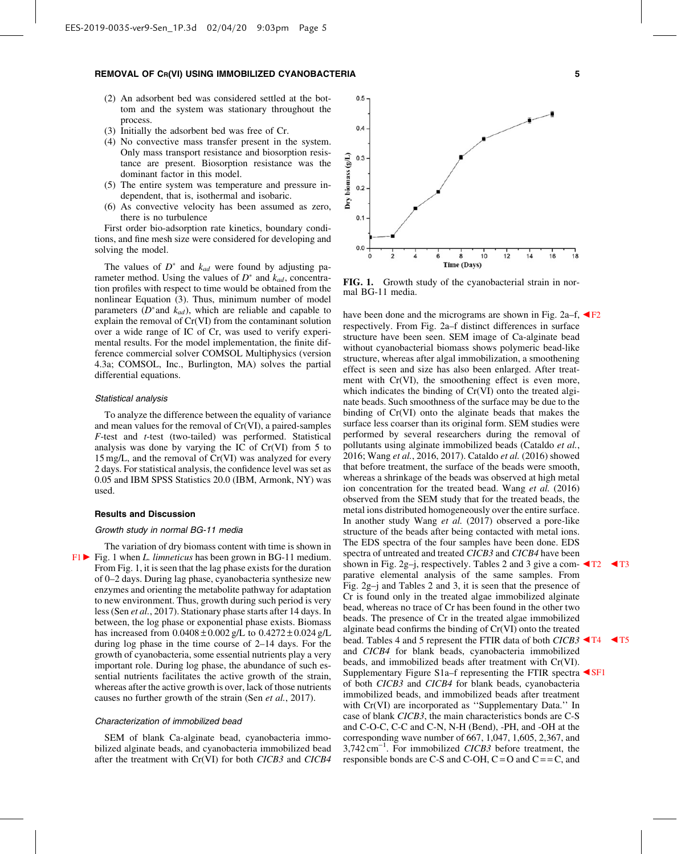- (2) An adsorbent bed was considered settled at the bottom and the system was stationary throughout the process.
- (3) Initially the adsorbent bed was free of Cr.
- (4) No convective mass transfer present in the system. Only mass transport resistance and biosorption resistance are present. Biosorption resistance was the dominant factor in this model.
- (5) The entire system was temperature and pressure independent, that is, isothermal and isobaric.
- (6) As convective velocity has been assumed as zero, there is no turbulence

First order bio-adsorption rate kinetics, boundary conditions, and fine mesh size were considered for developing and solving the model.

The values of  $D^*$  and  $k_{ad}$  were found by adjusting parameter method. Using the values of  $D^*$  and  $k_{ad}$ , concentration profiles with respect to time would be obtained from the nonlinear Equation (3). Thus, minimum number of model parameters  $(D^*$  and  $k_{ad}$ ), which are reliable and capable to explain the removal of Cr(VI) from the contaminant solution over a wide range of IC of Cr, was used to verify experimental results. For the model implementation, the finite difference commercial solver COMSOL Multiphysics (version 4.3a; COMSOL, Inc., Burlington, MA) solves the partial differential equations.

#### Statistical analysis

To analyze the difference between the equality of variance and mean values for the removal of Cr(VI), a paired-samples *F*-test and *t*-test (two-tailed) was performed. Statistical analysis was done by varying the IC of Cr(VI) from 5 to 15 mg/L, and the removal of Cr(VI) was analyzed for every 2 days. For statistical analysis, the confidence level was set as 0.05 and IBM SPSS Statistics 20.0 (IBM, Armonk, NY) was used.

#### Results and Discussion

# Growth study in normal BG-11 media

The variation of dry biomass content with time is shown in  $F1 \triangleright$  Fig. 1 when *L. limneticus* has been grown in BG-11 medium. From Fig. 1, it is seen that the lag phase exists for the duration of 0–2 days. During lag phase, cyanobacteria synthesize new enzymes and orienting the metabolite pathway for adaptation to new environment. Thus, growth during such period is very less (Sen *et al.*, 2017). Stationary phase starts after 14 days. In between, the log phase or exponential phase exists. Biomass has increased from  $0.0408 \pm 0.002$  g/L to  $0.4272 \pm 0.024$  g/L during log phase in the time course of 2–14 days. For the growth of cyanobacteria, some essential nutrients play a very important role. During log phase, the abundance of such essential nutrients facilitates the active growth of the strain, whereas after the active growth is over, lack of those nutrients causes no further growth of the strain (Sen *et al.*, 2017).

#### Characterization of immobilized bead

SEM of blank Ca-alginate bead, cyanobacteria immobilized alginate beads, and cyanobacteria immobilized bead after the treatment with Cr(VI) for both *CICB3* and *CICB4*



 $0.5$ 

FIG. 1. Growth study of the cyanobacterial strain in normal BG-11 media.

have been done and the micrograms are shown in Fig.  $2a-f$ ,  $\blacktriangleleft F2$ respectively. From Fig. 2a–f distinct differences in surface structure have been seen. SEM image of Ca-alginate bead without cyanobacterial biomass shows polymeric bead-like structure, whereas after algal immobilization, a smoothening effect is seen and size has also been enlarged. After treatment with Cr(VI), the smoothening effect is even more, which indicates the binding of Cr(VI) onto the treated alginate beads. Such smoothness of the surface may be due to the binding of Cr(VI) onto the alginate beads that makes the surface less coarser than its original form. SEM studies were performed by several researchers during the removal of pollutants using alginate immobilized beads (Cataldo *et al.*, 2016; Wang *et al.*, 2016, 2017). Cataldo *et al.* (2016) showed that before treatment, the surface of the beads were smooth, whereas a shrinkage of the beads was observed at high metal ion concentration for the treated bead. Wang *et al.* (2016) observed from the SEM study that for the treated beads, the metal ions distributed homogeneously over the entire surface. In another study Wang *et al.* (2017) observed a pore-like structure of the beads after being contacted with metal ions. The EDS spectra of the four samples have been done. EDS spectra of untreated and treated *CICB3* and *CICB4* have been shown in Fig. 2g–j, respectively. Tables 2 and 3 give a com- $\blacktriangleleft$ T2  $\blacktriangleleft$ T3 parative elemental analysis of the same samples. From Fig. 2g–j and Tables 2 and 3, it is seen that the presence of Cr is found only in the treated algae immobilized alginate bead, whereas no trace of Cr has been found in the other two beads. The presence of Cr in the treated algae immobilized alginate bead confirms the binding of Cr(VI) onto the treated bead. Tables 4 and 5 represent the FTIR data of both *CICB3*  $\blacktriangleleft$  T<sub>4</sub>  $\blacktriangleleft$  T<sub>5</sub> and *CICB4* for blank beads, cyanobacteria immobilized beads, and immobilized beads after treatment with Cr(VI). Supplementary Figure S1a–f representing the FTIR spectra  $\triangleleft$ SF1 of both *CICB3* and *CICB4* for blank beads, cyanobacteria immobilized beads, and immobilized beads after treatment with Cr(VI) are incorporated as ''Supplementary Data.'' In case of blank *CICB3*, the main characteristics bonds are C-S and C-O-C, C-C and C-N, N-H (Bend), -PH, and -OH at the corresponding wave number of 667, 1,047, 1,605, 2,367, and 3,742 cm-<sup>1</sup> . For immobilized *CICB3* before treatment, the responsible bonds are C-S and C-OH,  $C = O$  and  $C = C$ , and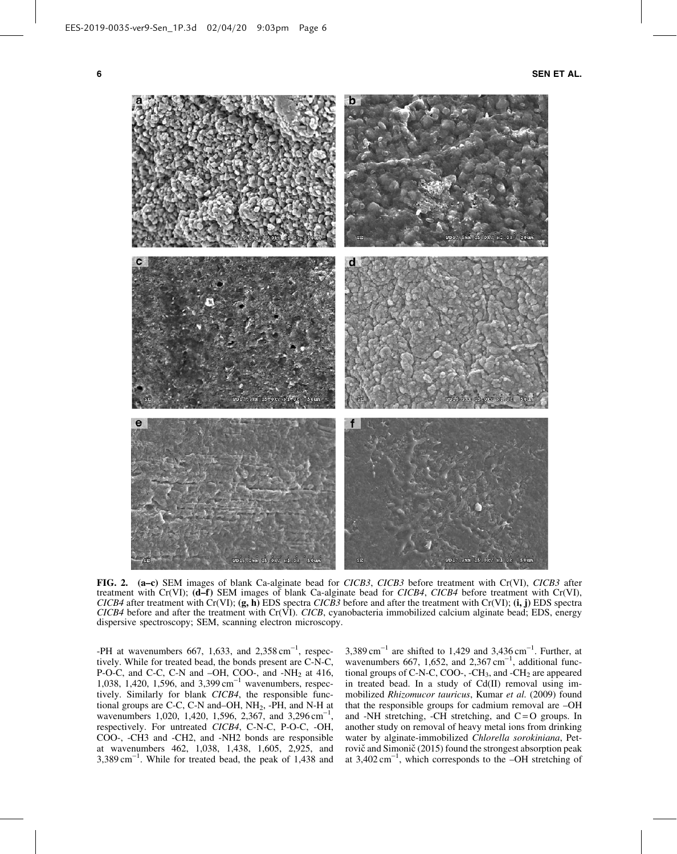6 SEN ET AL.



FIG. 2. (a–c) SEM images of blank Ca-alginate bead for *CICB3*, *CICB3* before treatment with Cr(VI), *CICB3* after treatment with Cr(VI); (d-f) SEM images of blank Ca-alginate bead for *CICB4*, *CICB4* before treatment with Cr(VI), *CICB4* after treatment with Cr(VI); (g, h) EDS spectra *CICB3* before and after the treatment with Cr(VI); (i, j) EDS spectra  $CICB4$  before and after the treatment with  $Cr(VI)$ . *CICB*, cyanobacteria immobilized calcium alginate bead; EDS, energy dispersive spectroscopy; SEM, scanning electron microscopy.

-PH at wavenumbers 667, 1,633, and  $2,358 \text{ cm}^{-1}$ , respectively. While for treated bead, the bonds present are C-N-C, P-O-C, and C-C, C-N and  $-OH$ , COO-, and  $-NH<sub>2</sub>$  at 416, 1,038, 1,420, 1,596, and 3,399 cm<sup>-1</sup> wavenumbers, respectively. Similarly for blank *CICB4*, the responsible functional groups are C-C, C-N and–OH, NH<sub>2</sub>, -PH, and N-H at wavenumbers 1,020, 1,420, 1,596, 2,367, and 3,296 cm<sup>-1</sup>, respectively. For untreated *CICB4*, C-N-C, P-O-C, -OH, COO-, -CH3 and -CH2, and -NH2 bonds are responsible at wavenumbers 462, 1,038, 1,438, 1,605, 2,925, and  $3,389 \text{ cm}^{-1}$ . While for treated bead, the peak of 1,438 and

 $3,389 \text{ cm}^{-1}$  are shifted to 1,429 and  $3,436 \text{ cm}^{-1}$ . Further, at wavenumbers 667, 1,652, and 2,367 cm<sup>-1</sup>, additional functional groups of C-N-C, COO-,  $-CH_3$ , and  $-CH_2$  are appeared in treated bead. In a study of Cd(II) removal using immobilized *Rhizomucor tauricus*, Kumar *et al.* (2009) found that the responsible groups for cadmium removal are –OH and -NH stretching, -CH stretching, and  $C = O$  groups. In another study on removal of heavy metal ions from drinking water by alginate-immobilized *Chlorella sorokiniana*, Petrovič and Simonič (2015) found the strongest absorption peak at 3,402 cm-<sup>1</sup> , which corresponds to the –OH stretching of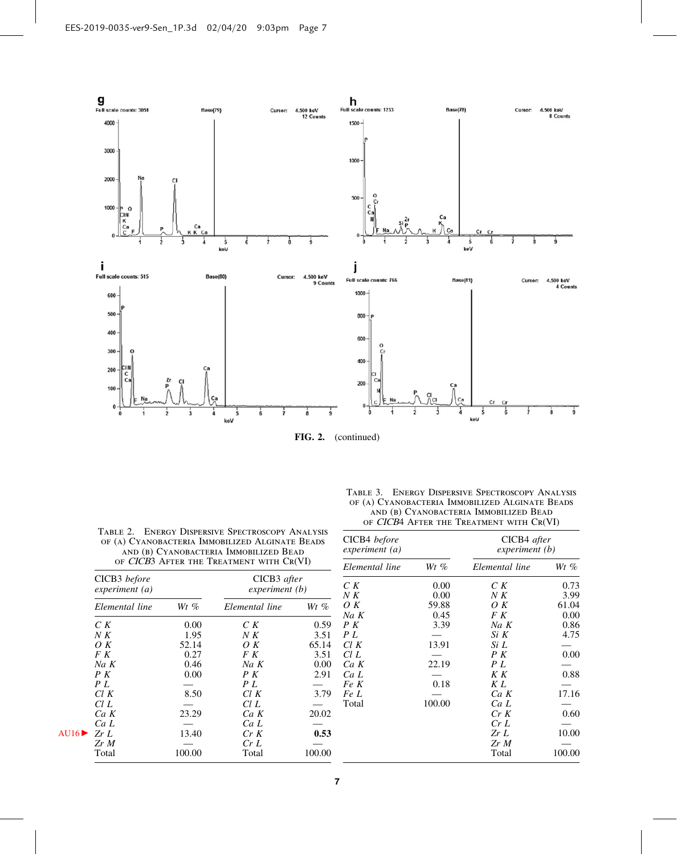

| TABLE 2. ENERGY DISPERSIVE SPECTROSCOPY ANALYSIS |
|--------------------------------------------------|
| OF (A) CYANOBACTERIA IMMOBILIZED ALGINATE BEADS  |
| AND (B) CYANOBACTERIA IMMOBILIZED BEAD           |
| OF CICB3 AFTER THE TREATMENT WITH CR(VI)         |
|                                                  |

| TABLE 3. ENERGY DISPERSIVE SPECTROSCOPY ANALYSIS |
|--------------------------------------------------|
| OF (A) CYANOBACTERIA IMMOBILIZED ALGINATE BEADS  |
| AND (B) CYANOBACTERIA IMMOBILIZED BEAD           |
| OF CICB4 AFTER THE TREATMENT WITH CR(VI)         |
|                                                  |

| CICB3 before<br>experiment (a) |        | CICB3 after<br>experiment (b) |        |  |  |
|--------------------------------|--------|-------------------------------|--------|--|--|
| Elemental line                 | $Wt\%$ | Elemental line                | $Wt\%$ |  |  |
| C K                            | 0.00   | C K                           | 0.59   |  |  |
| N K                            | 1.95   | N K                           | 3.51   |  |  |
| $\overline{O}K$                | 52.14  | OΚ                            | 65.14  |  |  |
| F K                            | 0.27   | F K                           | 3.51   |  |  |
| $Na\ K$                        | 0.46   | $Na\ K$                       | 0.00   |  |  |
| P K                            | 0.00   | P K                           | 2.91   |  |  |
| P L                            |        | P L                           |        |  |  |
| Cl K                           | 8.50   | Cl K                          | 3.79   |  |  |
| Cl L                           |        | ClL                           |        |  |  |
| $Ca\ K$                        | 23.29  | Ca K                          | 20.02  |  |  |
| Ca L                           |        | CaL                           |        |  |  |
| ZrL                            | 13.40  | Cr K                          | 0.53   |  |  |
| Zr M                           |        | CrL                           |        |  |  |
| Total                          | 100.00 | Total                         | 100.00 |  |  |

| CICB4 before<br>experiment (a) |        | CICB4 after<br>experiment (b) |        |  |  |
|--------------------------------|--------|-------------------------------|--------|--|--|
| Elemental line                 | $Wt\%$ | Elemental line                | $Wt\%$ |  |  |
| C K                            | 0.00   | C K                           | 0.73   |  |  |
| N K                            | 0.00   | N K                           | 3.99   |  |  |
| O K                            | 59.88  | $\overline{O}K$               | 61.04  |  |  |
| $Na\ K$                        | 0.45   | F K                           | 0.00   |  |  |
| P K                            | 3.39   | $Na\ K$                       | 0.86   |  |  |
| PL                             |        | Si K                          | 4.75   |  |  |
| Cl K                           | 13.91  | Si L                          |        |  |  |
| Cl L                           |        | P K                           | 0.00   |  |  |
| $Ca\ K$                        | 22.19  | PL                            |        |  |  |
| CaL                            |        | K K                           | 0.88   |  |  |
| Fe K                           | 0.18   | K L                           |        |  |  |
| Fe L                           |        | $Ca\ K$                       | 17.16  |  |  |
| Total                          | 100.00 | CaL                           |        |  |  |
|                                |        | Cr K                          | 0.60   |  |  |
|                                |        | CrL                           |        |  |  |
|                                |        | Zr L                          | 10.00  |  |  |
|                                |        | Zr M                          |        |  |  |
|                                |        | Total                         | 100.00 |  |  |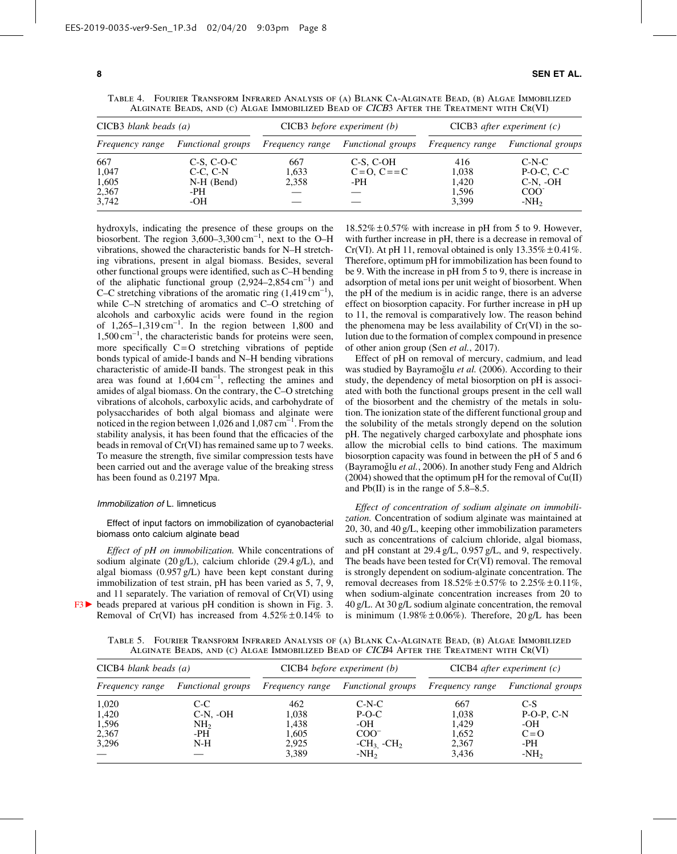|  |                                                                                         |  |  |  |  | TABLE 4. FOURIER TRANSFORM INFRARED ANALYSIS OF (A) BLANK CA-ALGINATE BEAD, (B) ALGAE IMMOBILIZED |  |
|--|-----------------------------------------------------------------------------------------|--|--|--|--|---------------------------------------------------------------------------------------------------|--|
|  | ALGINATE BEADS, AND (C) ALGAE IMMOBILIZED BEAD OF CICB3 AFTER THE TREATMENT WITH CR(VI) |  |  |  |  |                                                                                                   |  |

| $CICB3$ blank beads (a) |                          |                        | $CICB3$ before experiment (b) | CICB3 after experiment $(c)$ |                                     |  |  |
|-------------------------|--------------------------|------------------------|-------------------------------|------------------------------|-------------------------------------|--|--|
| <i>Frequency range</i>  | <i>Functional groups</i> | <i>Frequency range</i> | <i>Functional groups</i>      | <i>Frequency range</i>       | <i>Functional groups</i><br>$C-N-C$ |  |  |
| 667                     | $C-S, C-O-C$             | 667                    | C-S, C-OH                     | 416                          |                                     |  |  |
| 1,047                   | $C-C. C-N$               | 1.633                  | $C = 0, C = C$                | 1,038                        | $P-O-C, C-C$                        |  |  |
| 1,605                   | $N-H$ (Bend)             | 2,358                  | -PH                           | 1.420                        | $C-N$ , $-OH$                       |  |  |
| 2,367                   | -PH                      |                        |                               | 1,596                        | COO <sup>2</sup>                    |  |  |
| 3,742                   | -OH                      |                        |                               | 3,399                        | $-NH2$                              |  |  |

hydroxyls, indicating the presence of these groups on the biosorbent. The region  $3,600-3,300 \text{ cm}^{-1}$ , next to the O–H vibrations, showed the characteristic bands for N–H stretching vibrations, present in algal biomass. Besides, several other functional groups were identified, such as C–H bending of the aliphatic functional group  $(2,924-2,854 \text{ cm}^{-1})$  and C–C stretching vibrations of the aromatic ring  $(1,419 \text{ cm}^{-1})$ , while C–N stretching of aromatics and C–O stretching of alcohols and carboxylic acids were found in the region of  $1,265-1,319 \text{ cm}^{-1}$ . In the region between  $1,800$  and  $1,500 \text{ cm}^{-1}$ , the characteristic bands for proteins were seen, more specifically  $C = O$  stretching vibrations of peptide bonds typical of amide-I bands and N–H bending vibrations characteristic of amide-II bands. The strongest peak in this area was found at  $1,604 \text{ cm}^{-1}$ , reflecting the amines and amides of algal biomass. On the contrary, the C–O stretching vibrations of alcohols, carboxylic acids, and carbohydrate of polysaccharides of both algal biomass and alginate were noticed in the region between  $1,026$  and  $1,087$  cm<sup>-1</sup>. From the stability analysis, it has been found that the efficacies of the beads in removal of Cr(VI) has remained same up to 7 weeks. To measure the strength, five similar compression tests have been carried out and the average value of the breaking stress has been found as 0.2197 Mpa.

#### Immobilization of L. limneticus

Effect of input factors on immobilization of cyanobacterial biomass onto calcium alginate bead

*Effect of pH on immobilization.* While concentrations of sodium alginate (20 g/L), calcium chloride (29.4 g/L), and algal biomass (0.957 g/L) have been kept constant during immobilization of test strain, pH has been varied as 5, 7, 9, and 11 separately. The variation of removal of Cr(VI) using  $F3$  beads prepared at various pH condition is shown in Fig. 3. Removal of Cr(VI) has increased from  $4.52\% \pm 0.14\%$  to  $18.52\% \pm 0.57\%$  with increase in pH from 5 to 9. However, with further increase in pH, there is a decrease in removal of Cr(VI). At pH 11, removal obtained is only  $13.35\% \pm 0.41\%$ . Therefore, optimum pH for immobilization has been found to be 9. With the increase in pH from 5 to 9, there is increase in adsorption of metal ions per unit weight of biosorbent. When the pH of the medium is in acidic range, there is an adverse effect on biosorption capacity. For further increase in pH up to 11, the removal is comparatively low. The reason behind the phenomena may be less availability of Cr(VI) in the solution due to the formation of complex compound in presence of other anion group (Sen *et al.*, 2017).

Effect of pH on removal of mercury, cadmium, and lead was studied by Bayramoğlu et al. (2006). According to their study, the dependency of metal biosorption on pH is associated with both the functional groups present in the cell wall of the biosorbent and the chemistry of the metals in solution. The ionization state of the different functional group and the solubility of the metals strongly depend on the solution pH. The negatively charged carboxylate and phosphate ions allow the microbial cells to bind cations. The maximum biosorption capacity was found in between the pH of 5 and 6 (Bayramoğlu *et al.*, 2006). In another study Feng and Aldrich  $(2004)$  showed that the optimum pH for the removal of  $Cu(II)$ and Pb(II) is in the range of 5.8–8.5.

*Effect of concentration of sodium alginate on immobilization.* Concentration of sodium alginate was maintained at 20, 30, and 40 g/L, keeping other immobilization parameters such as concentrations of calcium chloride, algal biomass, and pH constant at 29.4 g/L, 0.957 g/L, and 9, respectively. The beads have been tested for Cr(VI) removal. The removal is strongly dependent on sodium-alginate concentration. The removal decreases from  $18.52\% \pm 0.57\%$  to  $2.25\% \pm 0.11\%$ , when sodium-alginate concentration increases from 20 to 40 g/L. At 30 g/L sodium alginate concentration, the removal is minimum  $(1.98\% \pm 0.06\%)$ . Therefore,  $20 \text{ g/L}$  has been

Table 5. Fourier Transform Infrared Analysis of (a) Blank Ca-Alginate Bead, (b) Algae Immobilized Alginate Beads, and (c) Algae Immobilized Bead of CICB4 After the Treatment with Cr(VI)

| $CICB4$ blank beads (a) |                   |                        | $CICB4$ before experiment (b)     | $CICB4$ after experiment (c) |                                   |  |  |
|-------------------------|-------------------|------------------------|-----------------------------------|------------------------------|-----------------------------------|--|--|
| <i>Frequency range</i>  | Functional groups | <i>Frequency range</i> | Functional groups Frequency range |                              | <i>Functional groups</i><br>$C-S$ |  |  |
| 1,020                   | $C-C$             | 462                    | $C-N-C$                           | 667                          |                                   |  |  |
| 1,420                   | $C-N.$ -OH        | 1,038                  | $P-O-C$                           | 1,038                        | $P-O-P, C-N$                      |  |  |
| 1,596                   | NH <sub>2</sub>   | 1,438                  | -OH                               | 1.429                        | $-OH$                             |  |  |
| 2,367                   | -PH               | 1,605                  | $COO^{-}$                         | 1.652                        | $C=O$                             |  |  |
| 3,296                   | $N-H$             | 2,925                  | $-CH3$ $-CH2$                     | 2,367                        | -PH                               |  |  |
|                         |                   | 3,389                  | $-NH2$                            | 3,436                        | $-NH2$                            |  |  |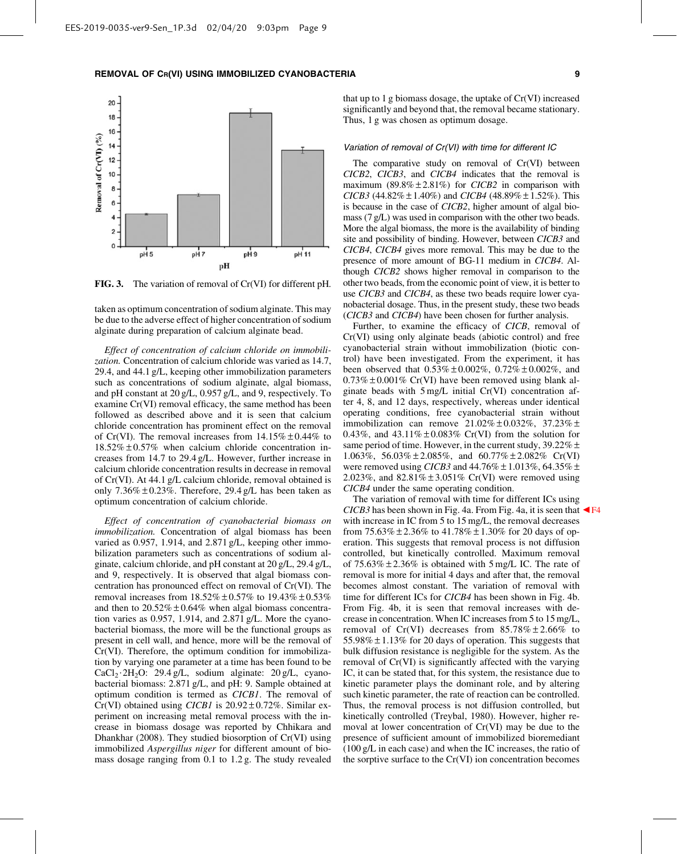

FIG. 3. The variation of removal of Cr(VI) for different pH.

taken as optimum concentration of sodium alginate. This may be due to the adverse effect of higher concentration of sodium alginate during preparation of calcium alginate bead.

*Effect of concentration of calcium chloride on immobilization.* Concentration of calcium chloride was varied as 14.7, 29.4, and 44.1 g/L, keeping other immobilization parameters such as concentrations of sodium alginate, algal biomass, and pH constant at 20 g/L, 0.957 g/L, and 9, respectively. To examine Cr(VI) removal efficacy, the same method has been followed as described above and it is seen that calcium chloride concentration has prominent effect on the removal of Cr(VI). The removal increases from  $14.15\% \pm 0.44\%$  to  $18.52\% \pm 0.57\%$  when calcium chloride concentration increases from 14.7 to 29.4 g/L. However, further increase in calcium chloride concentration results in decrease in removal of Cr(VI). At 44.1 g/L calcium chloride, removal obtained is only  $7.36\% \pm 0.23\%$ . Therefore, 29.4 g/L has been taken as optimum concentration of calcium chloride.

*Effect of concentration of cyanobacterial biomass on immobilization.* Concentration of algal biomass has been varied as 0.957, 1.914, and 2.871 g/L, keeping other immobilization parameters such as concentrations of sodium alginate, calcium chloride, and pH constant at 20 g/L, 29.4 g/L, and 9, respectively. It is observed that algal biomass concentration has pronounced effect on removal of Cr(VI). The removal increases from  $18.52\% \pm 0.57\%$  to  $19.43\% \pm 0.53\%$ and then to  $20.52\% \pm 0.64\%$  when algal biomass concentration varies as 0.957, 1.914, and 2.871 g/L. More the cyanobacterial biomass, the more will be the functional groups as present in cell wall, and hence, more will be the removal of Cr(VI). Therefore, the optimum condition for immobilization by varying one parameter at a time has been found to be  $CaCl<sub>2</sub>·2H<sub>2</sub>O$ : 29.4 g/L, sodium alginate: 20 g/L, cyanobacterial biomass: 2.871 g/L, and pH: 9. Sample obtained at optimum condition is termed as *CICB1*. The removal of  $Cr(VI)$  obtained using *CICB1* is  $20.92 \pm 0.72\%$ . Similar experiment on increasing metal removal process with the increase in biomass dosage was reported by Chhikara and Dhankhar (2008). They studied biosorption of Cr(VI) using immobilized *Aspergillus niger* for different amount of biomass dosage ranging from 0.1 to 1.2 g. The study revealed that up to 1 g biomass dosage, the uptake of Cr(VI) increased significantly and beyond that, the removal became stationary. Thus, 1 g was chosen as optimum dosage.

#### Variation of removal of Cr(VI) with time for different IC

The comparative study on removal of Cr(VI) between *CICB2*, *CICB3*, and *CICB4* indicates that the removal is maximum  $(89.8\% \pm 2.81\%)$  for *CICB2* in comparison with *CICB3* (44.82%  $\pm$  1.40%) and *CICB4* (48.89%  $\pm$  1.52%). This is because in the case of *CICB2*, higher amount of algal biomass (7 g/L) was used in comparison with the other two beads. More the algal biomass, the more is the availability of binding site and possibility of binding. However, between *CICB3* and *CICB4*, *CICB4* gives more removal. This may be due to the presence of more amount of BG-11 medium in *CICB4*. Although *CICB2* shows higher removal in comparison to the other two beads, from the economic point of view, it is better to use *CICB3* and *CICB4*, as these two beads require lower cyanobacterial dosage. Thus, in the present study, these two beads (*CICB3* and *CICB4*) have been chosen for further analysis.

Further, to examine the efficacy of *CICB*, removal of Cr(VI) using only alginate beads (abiotic control) and free cyanobacterial strain without immobilization (biotic control) have been investigated. From the experiment, it has been observed that  $0.53\% \pm 0.002\%$ ,  $0.72\% \pm 0.002\%$ , and  $0.73\% \pm 0.001\%$  Cr(VI) have been removed using blank alginate beads with 5 mg/L initial Cr(VI) concentration after 4, 8, and 12 days, respectively, whereas under identical operating conditions, free cyanobacterial strain without immobilization can remove  $21.02\% \pm 0.032\%$ ,  $37.23\% \pm$ 0.43%, and 43.11% $\pm$ 0.083% Cr(VI) from the solution for same period of time. However, in the current study,  $39.22\% \pm$ 1.063%, 56.03% – 2.085%, and 60.77% – 2.082% Cr(VI) were removed using *CICB3* and  $44.76\% \pm 1.013\%$ , 64.35%  $\pm$ 2.023%, and  $82.81\% \pm 3.051\%$  Cr(VI) were removed using *CICB4* under the same operating condition.

The variation of removal with time for different ICs using *CICB3* has been shown in Fig. 4a. From Fig. 4a, it is seen that  $\blacktriangleleft$  F4 with increase in IC from 5 to 15 mg/L, the removal decreases from  $75.63\% \pm 2.36\%$  to  $41.78\% \pm 1.30\%$  for 20 days of operation. This suggests that removal process is not diffusion controlled, but kinetically controlled. Maximum removal of  $75.63\% \pm 2.36\%$  is obtained with  $5 \text{ mg/L}$  IC. The rate of removal is more for initial 4 days and after that, the removal becomes almost constant. The variation of removal with time for different ICs for *CICB4* has been shown in Fig. 4b. From Fig. 4b, it is seen that removal increases with decrease in concentration. When IC increases from 5 to 15 mg/L, removal of Cr(VI) decreases from  $85.78\% \pm 2.66\%$  to 55.98%  $\pm$  1.13% for 20 days of operation. This suggests that bulk diffusion resistance is negligible for the system. As the removal of Cr(VI) is significantly affected with the varying IC, it can be stated that, for this system, the resistance due to kinetic parameter plays the dominant role, and by altering such kinetic parameter, the rate of reaction can be controlled. Thus, the removal process is not diffusion controlled, but kinetically controlled (Treybal, 1980). However, higher removal at lower concentration of Cr(VI) may be due to the presence of sufficient amount of immobilized bioremediant (100 g/L in each case) and when the IC increases, the ratio of the sorptive surface to the Cr(VI) ion concentration becomes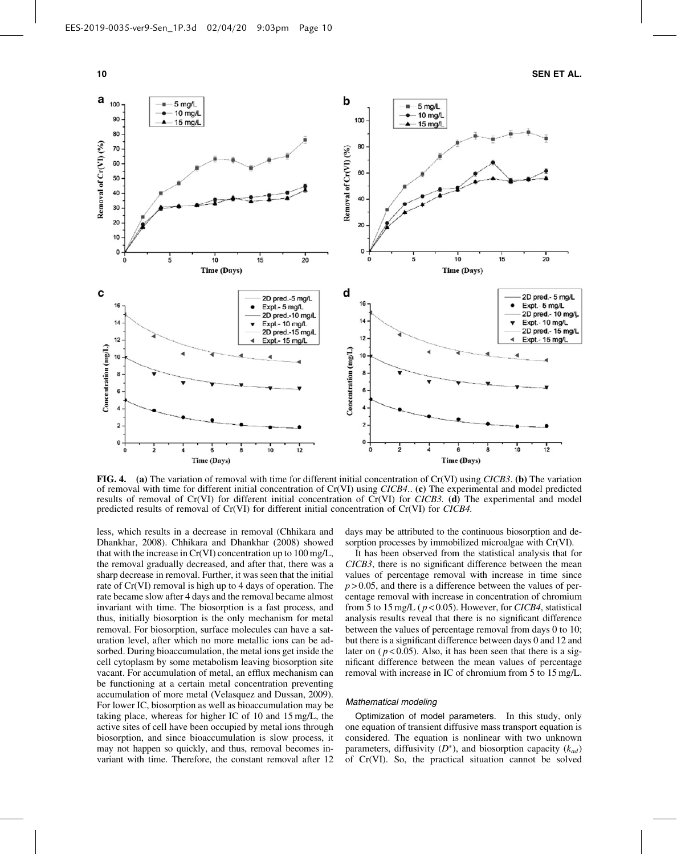

FIG. 4. (a) The variation of removal with time for different initial concentration of Cr(VI) using *CICB3*. (b) The variation of removal with time for different initial concentration of Cr(VI) using *CICB4*.. (c) The experimental and model predicted results of removal of Cr(VI) for different initial concentration of Cr(VI) for *CICB3.* (d) The experimental and model predicted results of removal of Cr(VI) for different initial concentration of Cr(VI) for *CICB4.*

less, which results in a decrease in removal (Chhikara and Dhankhar, 2008). Chhikara and Dhankhar (2008) showed that with the increase in Cr(VI) concentration up to 100 mg/L, the removal gradually decreased, and after that, there was a sharp decrease in removal. Further, it was seen that the initial rate of Cr(VI) removal is high up to 4 days of operation. The rate became slow after 4 days and the removal became almost invariant with time. The biosorption is a fast process, and thus, initially biosorption is the only mechanism for metal removal. For biosorption, surface molecules can have a saturation level, after which no more metallic ions can be adsorbed. During bioaccumulation, the metal ions get inside the cell cytoplasm by some metabolism leaving biosorption site vacant. For accumulation of metal, an efflux mechanism can be functioning at a certain metal concentration preventing accumulation of more metal (Velasquez and Dussan, 2009). For lower IC, biosorption as well as bioaccumulation may be taking place, whereas for higher IC of 10 and 15 mg/L, the active sites of cell have been occupied by metal ions through biosorption, and since bioaccumulation is slow process, it may not happen so quickly, and thus, removal becomes invariant with time. Therefore, the constant removal after 12 days may be attributed to the continuous biosorption and desorption processes by immobilized microalgae with Cr(VI).

It has been observed from the statistical analysis that for *CICB3*, there is no significant difference between the mean values of percentage removal with increase in time since  $p > 0.05$ , and there is a difference between the values of percentage removal with increase in concentration of chromium from 5 to 15 mg/L ( *p* < 0.05). However, for *CICB4*, statistical analysis results reveal that there is no significant difference between the values of percentage removal from days 0 to 10; but there is a significant difference between days 0 and 12 and later on  $(p<0.05)$ . Also, it has been seen that there is a significant difference between the mean values of percentage removal with increase in IC of chromium from 5 to 15 mg/L.

### Mathematical modeling

Optimization of model parameters. In this study, only one equation of transient diffusive mass transport equation is considered. The equation is nonlinear with two unknown parameters, diffusivity  $(D^*)$ , and biosorption capacity  $(k_{ad})$ of Cr(VI). So, the practical situation cannot be solved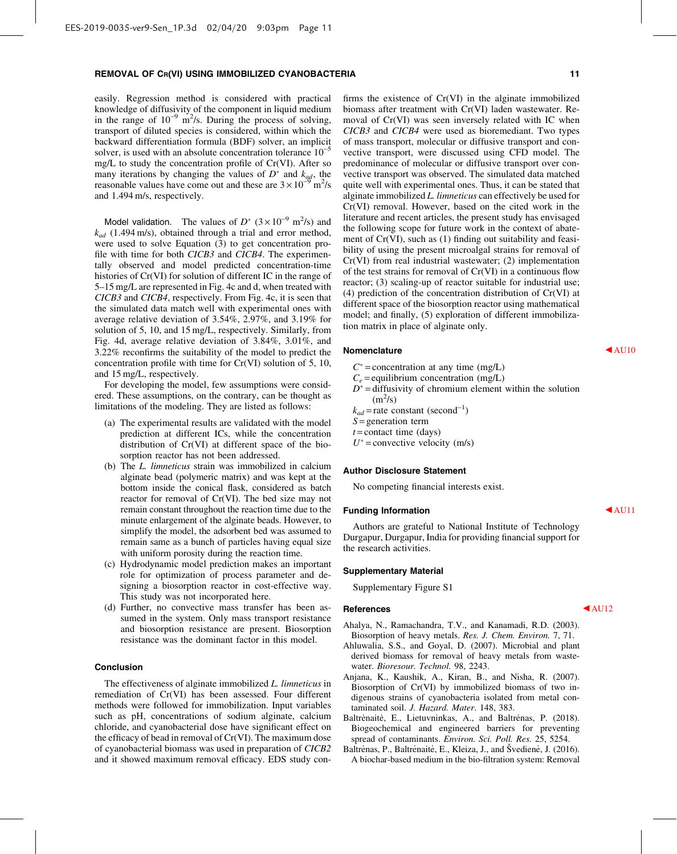easily. Regression method is considered with practical knowledge of diffusivity of the component in liquid medium in the range of  $10^{-9}$  m<sup>2</sup>/s. During the process of solving, transport of diluted species is considered, within which the backward differentiation formula (BDF) solver, an implicit solver, is used with an absolute concentration tolerance  $10^{-5}$ mg/L to study the concentration profile of Cr(VI). After so many iterations by changing the values of  $D^*$  and  $k_{ad}$ , the reasonable values have come out and these are  $3 \times 10^{-9}$  m<sup>2</sup>/s and 1.494 m/s, respectively.

Model validation. The values of  $D^*$   $(3 \times 10^{-9} \text{ m}^2/\text{s})$  and *kad* (1.494 m/s), obtained through a trial and error method, were used to solve Equation (3) to get concentration profile with time for both *CICB3* and *CICB4*. The experimentally observed and model predicted concentration-time histories of Cr(VI) for solution of different IC in the range of 5–15 mg/L are represented in Fig. 4c and d, when treated with *CICB3* and *CICB4*, respectively. From Fig. 4c, it is seen that the simulated data match well with experimental ones with average relative deviation of 3.54%, 2.97%, and 3.19% for solution of 5, 10, and 15 mg/L, respectively. Similarly, from Fig. 4d, average relative deviation of 3.84%, 3.01%, and 3.22% reconfirms the suitability of the model to predict the concentration profile with time for Cr(VI) solution of 5, 10, and 15 mg/L, respectively.

For developing the model, few assumptions were considered. These assumptions, on the contrary, can be thought as limitations of the modeling. They are listed as follows:

- (a) The experimental results are validated with the model prediction at different ICs, while the concentration distribution of Cr(VI) at different space of the biosorption reactor has not been addressed.
- (b) The *L. limneticus* strain was immobilized in calcium alginate bead (polymeric matrix) and was kept at the bottom inside the conical flask, considered as batch reactor for removal of Cr(VI). The bed size may not remain constant throughout the reaction time due to the minute enlargement of the alginate beads. However, to simplify the model, the adsorbent bed was assumed to remain same as a bunch of particles having equal size with uniform porosity during the reaction time.
- (c) Hydrodynamic model prediction makes an important role for optimization of process parameter and designing a biosorption reactor in cost-effective way. This study was not incorporated here.
- (d) Further, no convective mass transfer has been assumed in the system. Only mass transport resistance and biosorption resistance are present. Biosorption resistance was the dominant factor in this model.

# Conclusion

The effectiveness of alginate immobilized *L. limneticus* in remediation of Cr(VI) has been assessed. Four different methods were followed for immobilization. Input variables such as pH, concentrations of sodium alginate, calcium chloride, and cyanobacterial dose have significant effect on the efficacy of bead in removal of Cr(VI). The maximum dose of cyanobacterial biomass was used in preparation of *CICB2* and it showed maximum removal efficacy. EDS study confirms the existence of Cr(VI) in the alginate immobilized biomass after treatment with Cr(VI) laden wastewater. Removal of Cr(VI) was seen inversely related with IC when *CICB3* and *CICB4* were used as bioremediant. Two types of mass transport, molecular or diffusive transport and convective transport, were discussed using CFD model. The predominance of molecular or diffusive transport over convective transport was observed. The simulated data matched quite well with experimental ones. Thus, it can be stated that alginate immobilized *L. limneticus* can effectively be used for Cr(VI) removal. However, based on the cited work in the literature and recent articles, the present study has envisaged the following scope for future work in the context of abatement of Cr(VI), such as (1) finding out suitability and feasibility of using the present microalgal strains for removal of Cr(VI) from real industrial wastewater; (2) implementation of the test strains for removal of Cr(VI) in a continuous flow reactor; (3) scaling-up of reactor suitable for industrial use; (4) prediction of the concentration distribution of Cr(VI) at different space of the biosorption reactor using mathematical model; and finally, (5) exploration of different immobilization matrix in place of alginate only.

# Nomenclature  $\blacktriangleleft$  AU10

- $C^*$  = concentration at any time (mg/L)
- $C_e$  = equilibrium concentration (mg/L)
- $D^*$  = diffusivity of chromium element within the solution  $(m^2/s)$
- $k_{ad}$  = rate constant (second<sup>-1</sup>)
- *S* = generation term
- $t$  = contact time (days)

 $U^*$  = convective velocity (m/s)

#### Author Disclosure Statement

No competing financial interests exist.

# Funding Information and AU11

Authors are grateful to National Institute of Technology Durgapur, Durgapur, India for providing financial support for the research activities.

#### Supplementary Material

Supplementary Figure S1

#### References and all the AU12

- Ahalya, N., Ramachandra, T.V., and Kanamadi, R.D. (2003). Biosorption of heavy metals. *Res. J. Chem. Environ.* 7, 71.
- Ahluwalia, S.S., and Goyal, D. (2007). Microbial and plant derived biomass for removal of heavy metals from wastewater. *Bioresour. Technol.* 98, 2243.
- Anjana, K., Kaushik, A., Kiran, B., and Nisha, R. (2007). Biosorption of Cr(VI) by immobilized biomass of two indigenous strains of cyanobacteria isolated from metal contaminated soil. *J. Hazard. Mater*. 148, 383.
- Baltrėnaitė, E., Lietuvninkas, A., and Baltrėnas, P. (2018). Biogeochemical and engineered barriers for preventing spread of contaminants. *Environ. Sci. Poll. Res.* 25, 5254.
- Baltrėnas, P., Baltrėnaitė, E., Kleiza, J., and Švedienė, J. (2016). A biochar-based medium in the bio-filtration system: Removal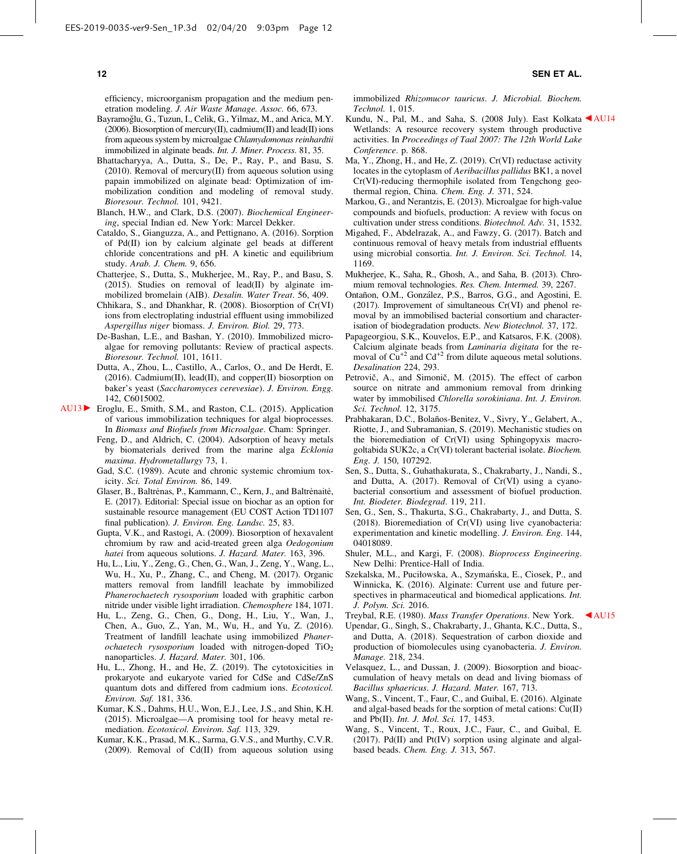efficiency, microorganism propagation and the medium penetration modeling. *J. Air Waste Manage. Assoc.* 66, 673.

- Bayramoğlu, G., Tuzun, I., Celik, G., Yilmaz, M., and Arica, M.Y. (2006). Biosorption of mercury(II), cadmium(II) and lead(II) ions from aqueous system by microalgae *Chlamydomonas reinhardtii* immobilized in alginate beads. *Int. J. Miner. Process*. 81, 35.
- Bhattacharyya, A., Dutta, S., De, P., Ray, P., and Basu, S. (2010). Removal of mercury(II) from aqueous solution using papain immobilized on alginate bead: Optimization of immobilization condition and modeling of removal study. *Bioresour. Technol.* 101, 9421.
- Blanch, H.W., and Clark, D.S. (2007). *Biochemical Engineering*, special Indian ed. New York: Marcel Dekker.
- Cataldo, S., Gianguzza, A., and Pettignano, A. (2016). Sorption of Pd(II) ion by calcium alginate gel beads at different chloride concentrations and pH. A kinetic and equilibrium study. *Arab. J. Chem.* 9, 656.
- Chatterjee, S., Dutta, S., Mukherjee, M., Ray, P., and Basu, S. (2015). Studies on removal of lead(II) by alginate immobilized bromelain (AIB). *Desalin. Water Treat*. 56, 409.
- Chhikara, S., and Dhankhar, R. (2008). Biosorption of Cr(VI) ions from electroplating industrial effluent using immobilized *Aspergillus niger* biomass. *J. Environ. Biol.* 29, 773.
- De-Bashan, L.E., and Bashan, Y. (2010). Immobilized microalgae for removing pollutants: Review of practical aspects. *Bioresour. Technol.* 101, 1611.
- Dutta, A., Zhou, L., Castillo, A., Carlos, O., and De Herdt, E. (2016). Cadmium(II), lead(II), and copper(II) biosorption on baker's yeast (*Saccharomyces cerevesiae*). *J. Environ. Engg.* 142, C6015002.
- AU13 Eroglu, E., Smith, S.M., and Raston, C.L. (2015). Application of various immobilization techniques for algal bioprocesses. In *Biomass and Biofuels from Microalgae*. Cham: Springer.
	- Feng, D., and Aldrich, C. (2004). Adsorption of heavy metals by biomaterials derived from the marine alga *Ecklonia maxima*. *Hydrometallurgy* 73, 1.
	- Gad, S.C. (1989). Acute and chronic systemic chromium toxicity. *Sci. Total Environ.* 86, 149.
	- Glaser, B., Baltrėnas, P., Kammann, C., Kern, J., and Baltrėnaitė, E. (2017). Editorial: Special issue on biochar as an option for sustainable resource management (EU COST Action TD1107 final publication). *J. Environ. Eng. Landsc.* 25, 83.
	- Gupta, V.K., and Rastogi, A. (2009). Biosorption of hexavalent chromium by raw and acid-treated green alga *Oedogonium hatei* from aqueous solutions. *J. Hazard. Mater.* 163, 396.
	- Hu, L., Liu, Y., Zeng, G., Chen, G., Wan, J., Zeng, Y., Wang, L., Wu, H., Xu, P., Zhang, C., and Cheng, M. (2017). Organic matters removal from landfill leachate by immobilized *Phanerochaetech rysosporium* loaded with graphitic carbon nitride under visible light irradiation. *Chemosphere* 184, 1071.
	- Hu, L., Zeng, G., Chen, G., Dong, H., Liu, Y., Wan, J., Chen, A., Guo, Z., Yan, M., Wu, H., and Yu, Z. (2016). Treatment of landfill leachate using immobilized *Phanerochaetech rysosporium* loaded with nitrogen-doped TiO<sub>2</sub> nanoparticles. *J. Hazard. Mater.* 301, 106.
	- Hu, L., Zhong, H., and He, Z. (2019). The cytotoxicities in prokaryote and eukaryote varied for CdSe and CdSe/ZnS quantum dots and differed from cadmium ions. *Ecotoxicol. Environ. Saf.* 181, 336.
	- Kumar, K.S., Dahms, H.U., Won, E.J., Lee, J.S., and Shin, K.H. (2015). Microalgae—A promising tool for heavy metal remediation. *Ecotoxicol. Environ. Saf.* 113, 329.
	- Kumar, K.K., Prasad, M.K., Sarma, G.V.S., and Murthy, C.V.R. (2009). Removal of Cd(II) from aqueous solution using

immobilized *Rhizomucor tauricus*. *J. Microbial. Biochem. Technol.* 1, 015.

- Kundu, N., Pal, M., and Saha, S. (2008 July). East Kolkata <AU14 Wetlands: A resource recovery system through productive activities. In *Proceedings of Taal 2007: The 12th World Lake Conference*. p. 868.
- Ma, Y., Zhong, H., and He, Z. (2019). Cr(VI) reductase activity locates in the cytoplasm of *Aeribacillus pallidus* BK1, a novel Cr(VI)-reducing thermophile isolated from Tengchong geothermal region, China. *Chem. Eng. J.* 371, 524.
- Markou, G., and Nerantzis, E. (2013). Microalgae for high-value compounds and biofuels, production: A review with focus on cultivation under stress conditions. *Biotechnol. Adv.* 31, 1532.
- Migahed, F., Abdelrazak, A., and Fawzy, G. (2017). Batch and continuous removal of heavy metals from industrial effluents using microbial consortia. *Int. J. Environ. Sci. Technol.* 14, 1169.
- Mukherjee, K., Saha, R., Ghosh, A., and Saha, B. (2013). Chromium removal technologies. *Res. Chem. Intermed.* 39, 2267.
- Ontañon, O.M., González, P.S., Barros, G.G., and Agostini, E. (2017). Improvement of simultaneous Cr(VI) and phenol removal by an immobilised bacterial consortium and characterisation of biodegradation products. *New Biotechnol.* 37, 172.
- Papageorgiou, S.K., Kouvelos, E.P., and Katsaros, F.K. (2008). Calcium alginate beads from *Laminaria digitata* for the removal of  $Cu^{+2}$  and  $Cd^{+2}$  from dilute aqueous metal solutions. *Desalination* 224, 293.
- Petrovič, A., and Simonič, M. (2015). The effect of carbon source on nitrate and ammonium removal from drinking water by immobilised *Chlorella sorokiniana*. *Int. J. Environ. Sci. Technol.* 12, 3175.
- Prabhakaran, D.C., Bolaños-Benitez, V., Sivry, Y., Gelabert, A., Riotte, J., and Subramanian, S. (2019). Mechanistic studies on the bioremediation of Cr(VI) using Sphingopyxis macrogoltabida SUK2c, a Cr(VI) tolerant bacterial isolate. *Biochem. Eng. J.* 150, 107292.
- Sen, S., Dutta, S., Guhathakurata, S., Chakrabarty, J., Nandi, S., and Dutta, A. (2017). Removal of Cr(VI) using a cyanobacterial consortium and assessment of biofuel production. *Int. Biodeter. Biodegrad*. 119, 211.
- Sen, G., Sen, S., Thakurta, S.G., Chakrabarty, J., and Dutta, S. (2018). Bioremediation of Cr(VI) using live cyanobacteria: experimentation and kinetic modelling. *J. Environ. Eng.* 144, 04018089.
- Shuler, M.L., and Kargi, F. (2008). *Bioprocess Engineering*. New Delhi: Prentice-Hall of India.
- Szekalska, M., Puciłowska, A., Szymańska, E., Ciosek, P., and Winnicka, K. (2016). Alginate: Current use and future perspectives in pharmaceutical and biomedical applications. *Int. J. Polym. Sci.* 2016.

Treybal, R.E. (1980). *Mass Transfer Operations*. New York. b AU15

- Upendar, G., Singh, S., Chakrabarty, J., Ghanta, K.C., Dutta, S., and Dutta, A. (2018). Sequestration of carbon dioxide and production of biomolecules using cyanobacteria. *J. Environ. Manage.* 218, 234.
- Velasquez, L., and Dussan, J. (2009). Biosorption and bioaccumulation of heavy metals on dead and living biomass of *Bacillus sphaericus*. *J. Hazard. Mater.* 167, 713.
- Wang, S., Vincent, T., Faur, C., and Guibal, E. (2016). Alginate and algal-based beads for the sorption of metal cations: Cu(II) and Pb(II). *Int. J. Mol. Sci.* 17, 1453.
- Wang, S., Vincent, T., Roux, J.C., Faur, C., and Guibal, E. (2017). Pd(II) and Pt(IV) sorption using alginate and algalbased beads. *Chem. Eng. J.* 313, 567.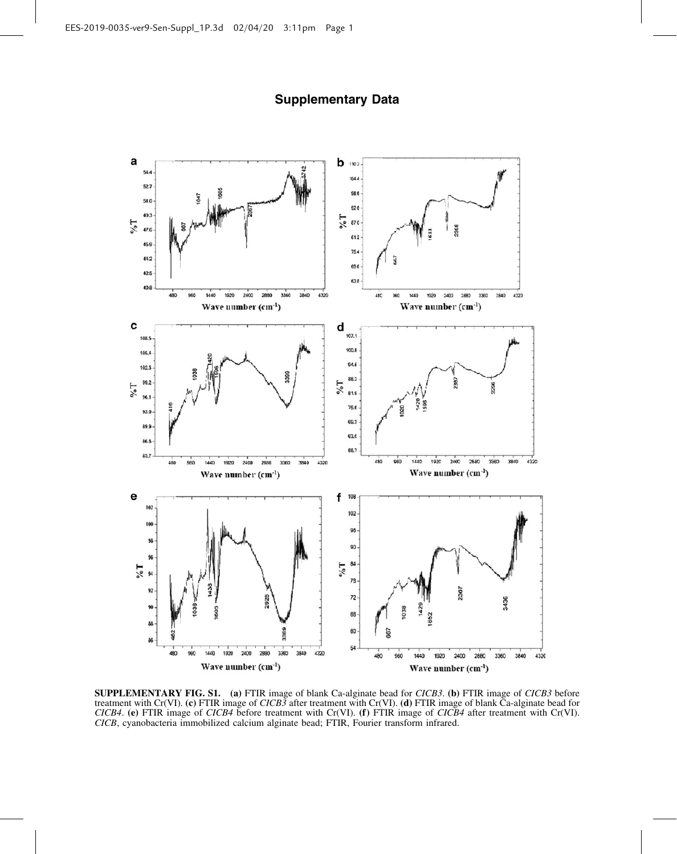

# Supplementary Data

SUPPLEMENTARY FIG. S1. (a) FTIR image of blank Ca-alginate bead for *CICB3*. (b) FTIR image of *CICB3* before treatment with Cr(VI). (c) FTIR image of *CICB3* after treatment with Cr(VI). (d) FTIR image of blank Ca-alginate bead for *CICB4*. (e) FTIR image of *CICB4* before treatment with Cr(VI). (f) FTIR image of *CICB4* after treatment with Cr(VI). *CICB*, cyanobacteria immobilized calcium alginate bead; FTIR, Fourier transform infrared.